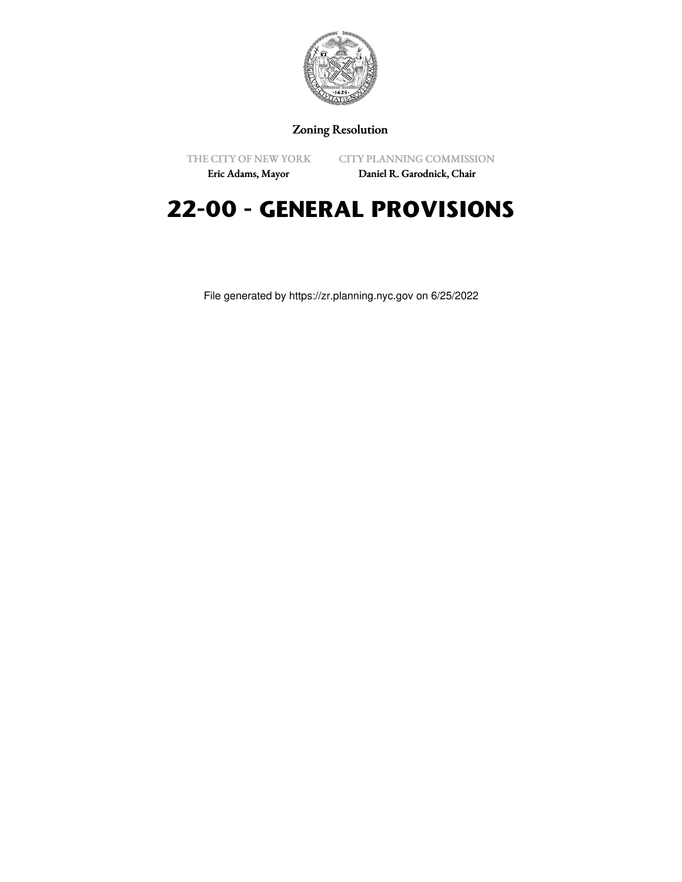

## Zoning Resolution

THE CITY OF NEW YORK

CITY PLANNING COMMISSION

Eric Adams, Mayor

Daniel R. Garodnick, Chair

## **22-00 - GENERAL PROVISIONS**

File generated by https://zr.planning.nyc.gov on 6/25/2022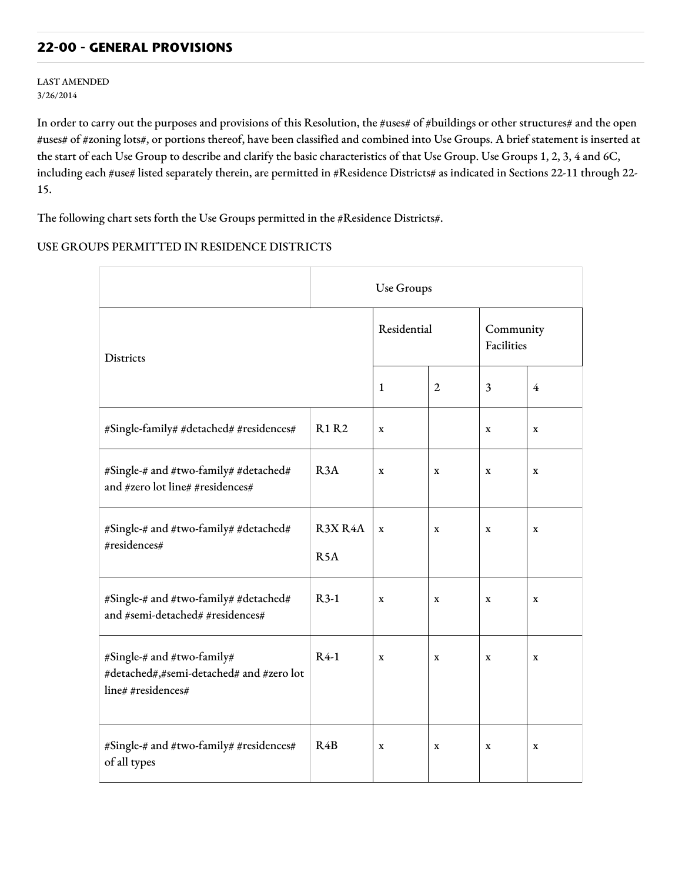## **22-00 - GENERAL PROVISIONS**

LAST AMENDED 3/26/2014

In order to carry out the purposes and provisions of this Resolution, the #uses# of #buildings or other structures# and the open #uses# of #zoning lots#, or portions thereof, have been classified and combined into Use Groups. A brief statement is inserted at the start of each Use Group to describe and clarify the basic characteristics of that Use Group. Use Groups 1, 2, 3, 4 and 6C, including each #use# listed separately therein, are permitted in #Residence Districts# as indicated in Sections 22-11 through 22- 15.

The following chart sets forth the Use Groups permitted in the #Residence Districts#.

## USE GROUPS PERMITTED IN RESIDENCE DISTRICTS

|                                                                                              | Use Groups                  |             |                |                         |             |  |  |
|----------------------------------------------------------------------------------------------|-----------------------------|-------------|----------------|-------------------------|-------------|--|--|
| Districts                                                                                    |                             | Residential |                | Community<br>Facilities |             |  |  |
|                                                                                              |                             | 1           | $\overline{2}$ | 3                       | 4           |  |  |
| #Single-family# #detached# #residences#                                                      | <b>R1 R2</b>                | $\mathbf x$ |                | X                       | $\mathbf X$ |  |  |
| #Single-# and #two-family# #detached#<br>and #zero lot line# #residences#                    | R <sub>3</sub> A            | $\mathbf x$ | X              | X                       | X           |  |  |
| #Single-# and #two-family# #detached#<br>#residences#                                        | R3X R4A<br>R <sub>5</sub> A | $\mathbf X$ | X              | X                       | $\mathbf X$ |  |  |
| #Single-# and #two-family# #detached#<br>and #semi-detached# #residences#                    | $R3-1$                      | $\mathbf X$ | X              | X                       | X           |  |  |
| #Single-# and #two-family#<br>#detached#,#semi-detached# and #zero lot<br>line# #residences# | $R4-1$                      | $\mathbf X$ | X              | X                       | X           |  |  |
| #Single-# and #two-family# #residences#<br>of all types                                      | R4B                         | $\mathbf x$ | X              | $\mathbf x$             | $\mathbf x$ |  |  |